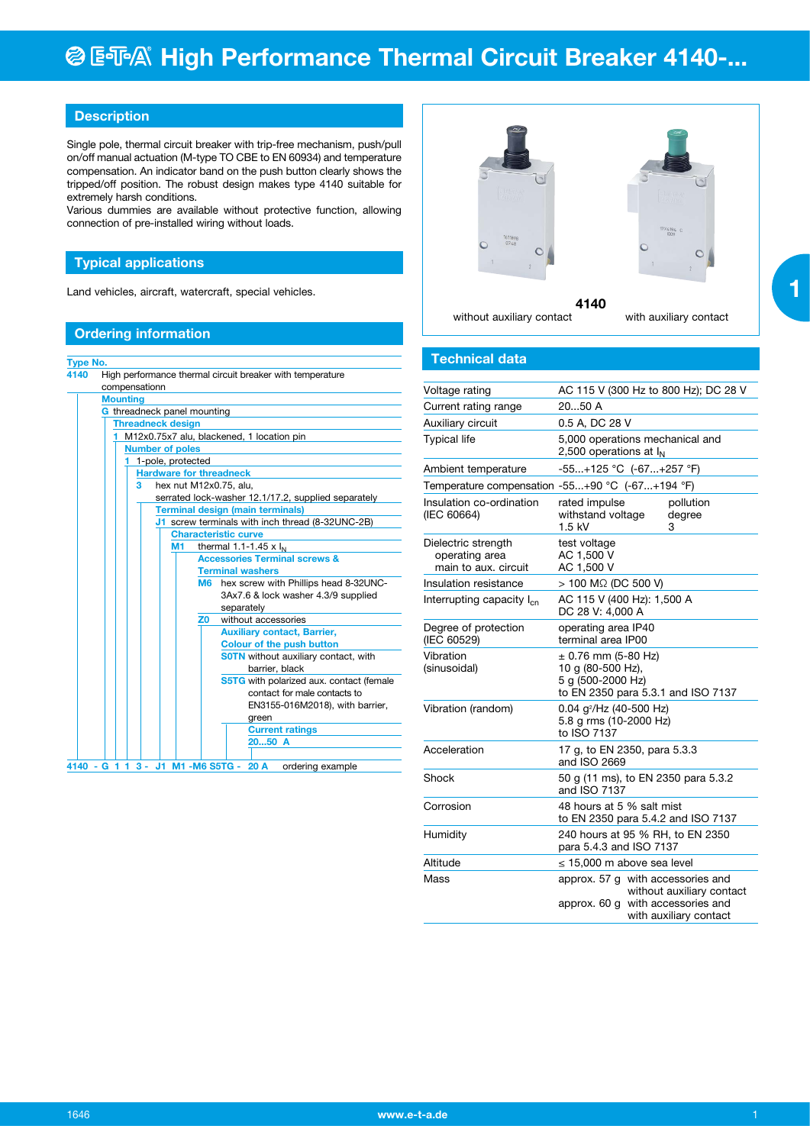# **@ E不A High Performance Thermal Circuit Breaker 4140-...**

#### **Description**

Single pole, thermal circuit breaker with trip-free mechanism, push/pull on/off manual actuation (M-type TO CBE to EN 60934) and temperature compensation. An indicator band on the push button clearly shows the tripped/off position. The robust design makes type 4140 suitable for extremely harsh conditions.

Various dummies are available without protective function, allowing connection of pre-installed wiring without loads.

#### **Typical applications**

Land vehicles, aircraft, watercraft, special vehicles.

#### **Ordering information**

#### **Type No. 4140** High performance thermal circuit breaker with temperature compensationn

| <b>Mounting</b>                                                                 |  |  |  |
|---------------------------------------------------------------------------------|--|--|--|
| G threadneck panel mounting                                                     |  |  |  |
| <b>Threadneck design</b>                                                        |  |  |  |
| M12x0.75x7 alu, blackened, 1 location pin                                       |  |  |  |
| <b>Number of poles</b>                                                          |  |  |  |
| 1-pole, protected                                                               |  |  |  |
| <b>Hardware for threadneck</b>                                                  |  |  |  |
| 3<br>hex nut M12x0.75, alu,                                                     |  |  |  |
| serrated lock-washer 12.1/17.2, supplied separately                             |  |  |  |
| <b>Terminal design (main terminals)</b>                                         |  |  |  |
| J1 screw terminals with inch thread (8-32UNC-2B)                                |  |  |  |
| <b>Characteristic curve</b>                                                     |  |  |  |
| thermal 1.1-1.45 $\times$ $I_N$<br>M1                                           |  |  |  |
| <b>Accessories Terminal screws &amp;</b>                                        |  |  |  |
| <b>Terminal washers</b>                                                         |  |  |  |
| hex screw with Phillips head 8-32UNC-<br>M6                                     |  |  |  |
| 3Ax7.6 & lock washer 4.3/9 supplied                                             |  |  |  |
| separately                                                                      |  |  |  |
| without accessories<br>Z0                                                       |  |  |  |
| <b>Auxiliary contact, Barrier,</b>                                              |  |  |  |
| <b>Colour of the push button</b>                                                |  |  |  |
| <b>SOTN</b> without auxiliary contact, with                                     |  |  |  |
| barrier, black                                                                  |  |  |  |
| <b>S5TG</b> with polarized aux. contact (female<br>contact for male contacts to |  |  |  |
|                                                                                 |  |  |  |
| EN3155-016M2018), with barrier,                                                 |  |  |  |
| green<br><b>Current ratings</b>                                                 |  |  |  |
| 2050 A                                                                          |  |  |  |
|                                                                                 |  |  |  |
| 4140 - G 1 1 3 - J1 M1 -M6 S5TG - 20 A<br>ordering example                      |  |  |  |



without auxiliary contact with auxiliary contact

#### **Technical data**

| Voltage rating                                                | AC 115 V (300 Hz to 800 Hz); DC 28 V                                                                                          |  |  |
|---------------------------------------------------------------|-------------------------------------------------------------------------------------------------------------------------------|--|--|
| Current rating range                                          | 2050 A                                                                                                                        |  |  |
| Auxiliary circuit                                             | 0.5 A, DC 28 V                                                                                                                |  |  |
| <b>Typical life</b>                                           | 5,000 operations mechanical and<br>2,500 operations at $I_{N}$                                                                |  |  |
| Ambient temperature                                           | -55+125 °C (-67+257 °F)                                                                                                       |  |  |
|                                                               | Temperature compensation $-55+90$ °C $(-67+194$ °F)                                                                           |  |  |
| Insulation co-ordination<br>(IEC 60664)                       | rated impulse<br>pollution<br>withstand voltage<br>degree<br>1.5 kV<br>з                                                      |  |  |
| Dielectric strength<br>operating area<br>main to aux. circuit | test voltage<br>AC 1,500 V<br>AC 1,500 V                                                                                      |  |  |
| Insulation resistance                                         | > 100 MΩ (DC 500 V)                                                                                                           |  |  |
| Interrupting capacity I <sub>cn</sub>                         | AC 115 V (400 Hz): 1,500 A<br>DC 28 V: 4,000 A                                                                                |  |  |
| Degree of protection<br>(IEC 60529)                           | operating area IP40<br>terminal area IP00                                                                                     |  |  |
| Vibration<br>(sinusoidal)                                     | $\pm$ 0.76 mm (5-80 Hz)<br>10 g (80-500 Hz),<br>5 g (500-2000 Hz)<br>to EN 2350 para 5.3.1 and ISO 7137                       |  |  |
| Vibration (random)                                            | 0.04 g <sup>2</sup> /Hz (40-500 Hz)<br>5.8 g rms (10-2000 Hz)<br>to ISO 7137                                                  |  |  |
| Acceleration                                                  | 17 g, to EN 2350, para 5.3.3<br>and ISO 2669                                                                                  |  |  |
| Shock                                                         | 50 g (11 ms), to EN 2350 para 5.3.2<br>and ISO 7137                                                                           |  |  |
| Corrosion                                                     | 48 hours at 5 % salt mist<br>to EN 2350 para 5.4.2 and ISO 7137                                                               |  |  |
| Humidity                                                      | 240 hours at 95 % RH, to EN 2350<br>para 5.4.3 and ISO 7137                                                                   |  |  |
| Altitude                                                      | $\leq$ 15,000 m above sea level                                                                                               |  |  |
| Mass                                                          | approx. 57 g with accessories and<br>without auxiliary contact<br>approx. 60 g with accessories and<br>with auxiliary contact |  |  |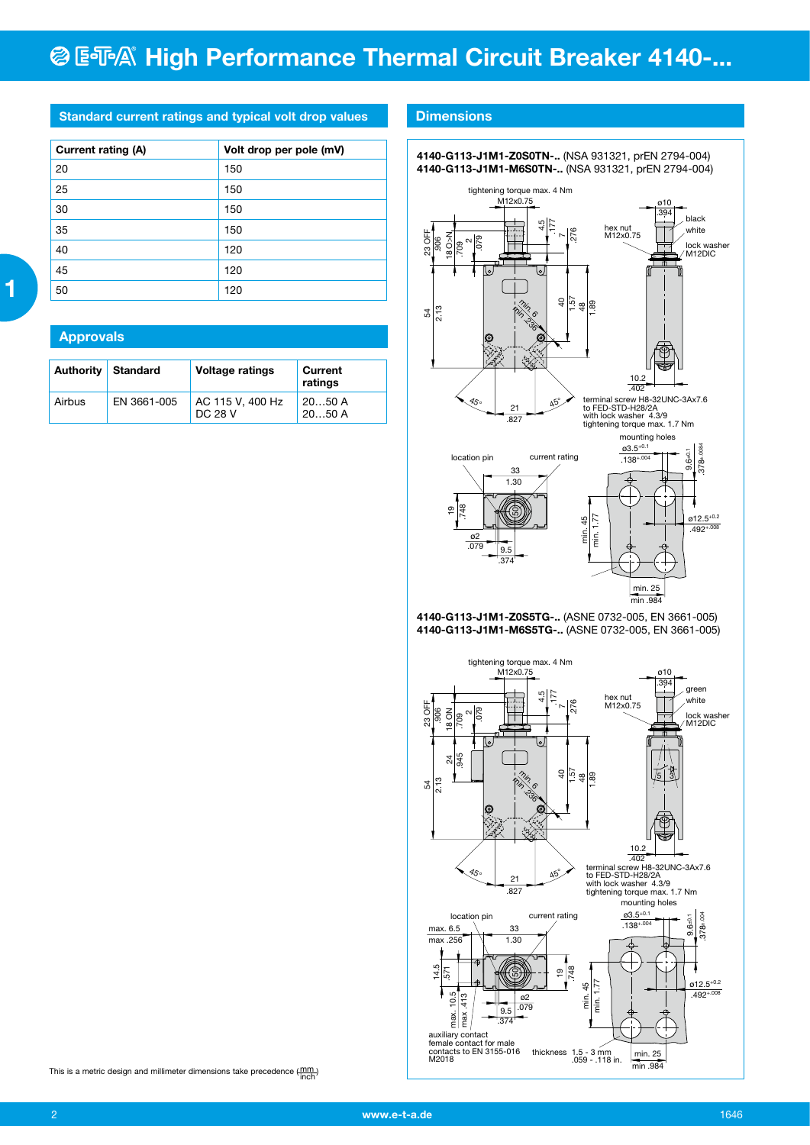#### **Standard current ratings and typical volt drop values**

| <b>Current rating (A)</b> | Volt drop per pole (mV) |  |
|---------------------------|-------------------------|--|
| 20                        | 150                     |  |
| 25                        | 150                     |  |
| 30                        | 150                     |  |
| 35                        | 150                     |  |
| 40                        | 120                     |  |
| 45                        | 120                     |  |
| 50                        | 120                     |  |

#### **Approvals**

| <b>Authority</b> | Standard    | <b>Voltage ratings</b>             | Current<br>ratings |
|------------------|-------------|------------------------------------|--------------------|
| Airbus           | EN 3661-005 | AC 115 V, 400 Hz<br><b>DC 28 V</b> | 2050A<br>20.50A    |

#### **Dimensions**

**4140-G113-J1M1-Z0S0TN-..** (NSA 931321, prEN 2794-004) **4140-G113-J1M1-M6S0TN-..** (NSA 931321, prEN 2794-004)



**4140-G113-J1M1-Z0S5TG-..** (ASNE 0732-005, EN 3661-005) **4140-G113-J1M1-M6S5TG-..** (ASNE 0732-005, EN 3661-005)



This is a metric design and millimeter dimensions take precedence  $(\frac{mm}{inoh})$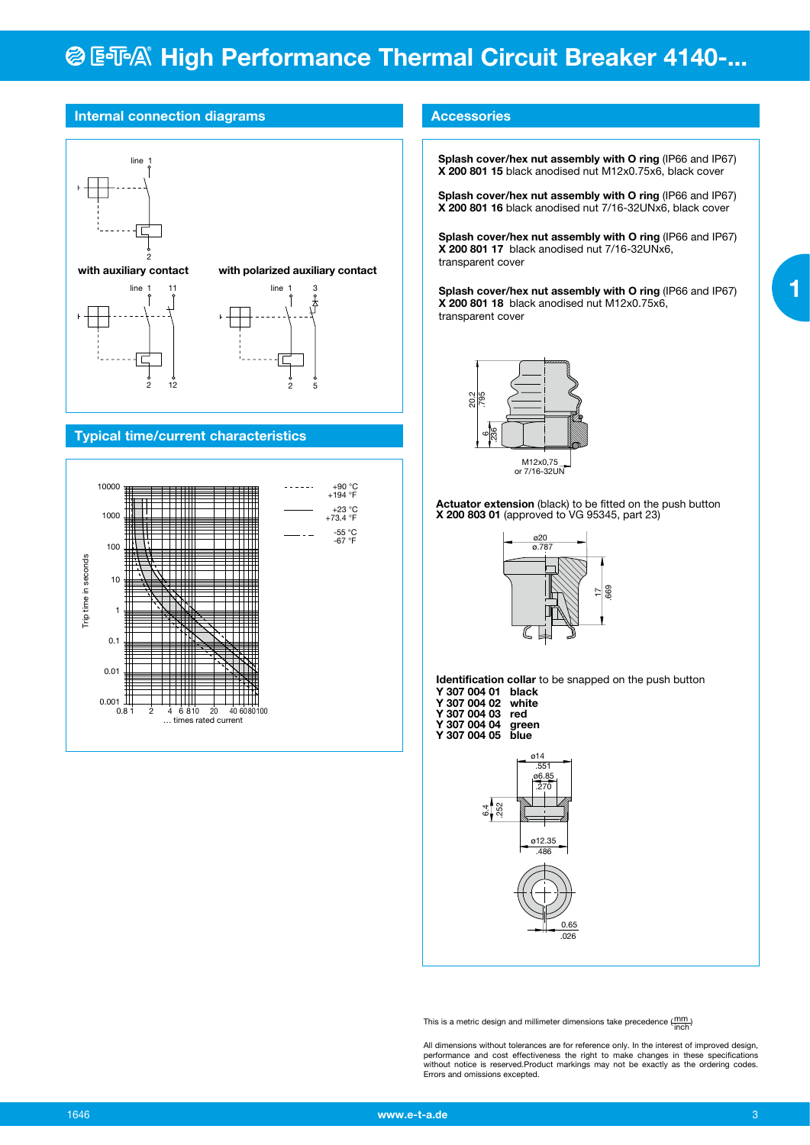## **@ E T A High Performance Thermal Circuit Breaker 4140-...**



This is a metric design and millimeter dimensions take precedence  $(\frac{mm}{inch})$ 

0.65 .026

ø12.35

.486

.270

All dimensions without tolerances are for reference only. In the interest of improved design, performance and cost effectiveness the right to make changes in these specifications without notice is reserved.Product markings may not be exactly as the ordering codes. Errors and omissions excepted.

 $\frac{4}{25}$ 

 **1**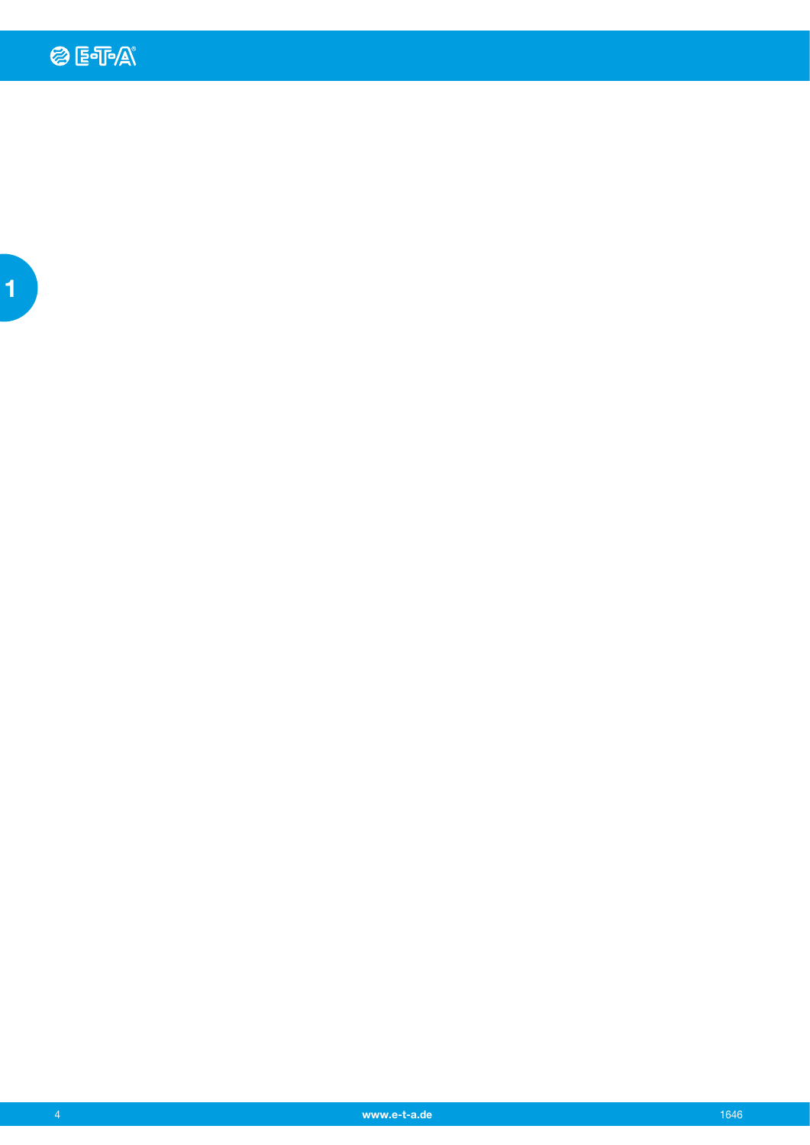